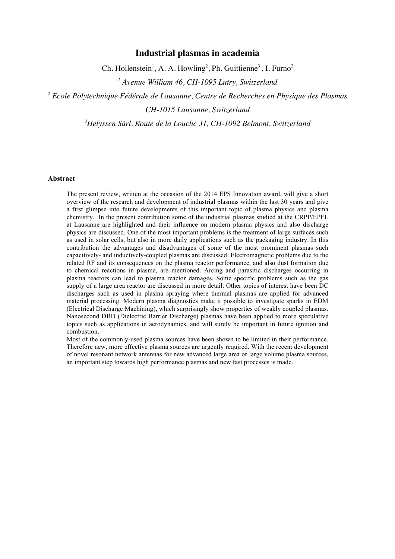# **Industrial plasmas in academia**

Ch. Hollenstein<sup>1</sup>, A. A. Howling<sup>2</sup>, Ph. Guittienne<sup>3</sup>, I. Furno<sup>2</sup>

*<sup>1</sup> Avenue William 46, CH-1095 Lutry, Switzerland*

*<sup>2</sup> Ecole Polytechnique Fédérale de Lausanne, Centre de Recherches en Physique des Plasmas* 

*CH-1015 Lausanne, Switzerland*

*3 Helyssen Sàrl, Route de la Louche 31, CH-1092 Belmont, Switzerland*

### **Abstract**

The present review, written at the occasion of the 2014 EPS Innovation award, will give a short overview of the research and development of industrial plasmas within the last 30 years and give a first glimpse into future developments of this important topic of plasma physics and plasma chemistry. In the present contribution some of the industrial plasmas studied at the CRPP/EPFL at Lausanne are highlighted and their influence on modern plasma physics and also discharge physics are discussed. One of the most important problems is the treatment of large surfaces such as used in solar cells, but also in more daily applications such as the packaging industry. In this contribution the advantages and disadvantages of some of the most prominent plasmas such capacitively- and inductively-coupled plasmas are discussed. Electromagnetic problems due to the related RF and its consequences on the plasma reactor performance, and also dust formation due to chemical reactions in plasma, are mentioned. Arcing and parasitic discharges occurring in plasma reactors can lead to plasma reactor damages. Some specific problems such as the gas supply of a large area reactor are discussed in more detail. Other topics of interest have been DC discharges such as used in plasma spraying where thermal plasmas are applied for advanced material processing. Modern plasma diagnostics make it possible to investigate sparks in EDM (Electrical Discharge Machining), which surprisingly show properties of weakly coupled plasmas. Nanosecond DBD (Dielectric Barrier Discharge) plasmas have been applied to more speculative topics such as applications in aerodynamics, and will surely be important in future ignition and combustion.

Most of the commonly-used plasma sources have been shown to be limited in their performance. Therefore new, more effective plasma sources are urgently required. With the recent development of novel resonant network antennas for new advanced large area or large volume plasma sources, an important step towards high performance plasmas and new fast processes is made.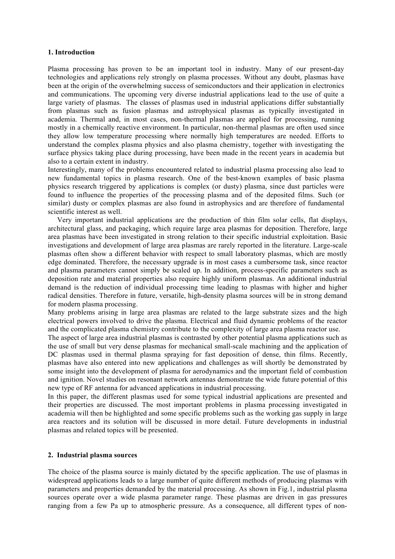# **1. Introduction**

Plasma processing has proven to be an important tool in industry. Many of our present-day technologies and applications rely strongly on plasma processes. Without any doubt, plasmas have been at the origin of the overwhelming success of semiconductors and their application in electronics and communications. The upcoming very diverse industrial applications lead to the use of quite a large variety of plasmas. The classes of plasmas used in industrial applications differ substantially from plasmas such as fusion plasmas and astrophysical plasmas as typically investigated in academia. Thermal and, in most cases, non-thermal plasmas are applied for processing, running mostly in a chemically reactive environment. In particular, non-thermal plasmas are often used since they allow low temperature processing where normally high temperatures are needed. Efforts to understand the complex plasma physics and also plasma chemistry, together with investigating the surface physics taking place during processing, have been made in the recent years in academia but also to a certain extent in industry.

Interestingly, many of the problems encountered related to industrial plasma processing also lead to new fundamental topics in plasma research. One of the best-known examples of basic plasma physics research triggered by applications is complex (or dusty) plasma, since dust particles were found to influence the properties of the processing plasma and of the deposited films. Such (or similar) dusty or complex plasmas are also found in astrophysics and are therefore of fundamental scientific interest as well.

Very important industrial applications are the production of thin film solar cells, flat displays, architectural glass, and packaging, which require large area plasmas for deposition. Therefore, large area plasmas have been investigated in strong relation to their specific industrial exploitation. Basic investigations and development of large area plasmas are rarely reported in the literature. Large-scale plasmas often show a different behavior with respect to small laboratory plasmas, which are mostly edge dominated. Therefore, the necessary upgrade is in most cases a cumbersome task, since reactor and plasma parameters cannot simply be scaled up. In addition, process-specific parameters such as deposition rate and material properties also require highly uniform plasmas. An additional industrial demand is the reduction of individual processing time leading to plasmas with higher and higher radical densities. Therefore in future, versatile, high-density plasma sources will be in strong demand for modern plasma processing.

Many problems arising in large area plasmas are related to the large substrate sizes and the high electrical powers involved to drive the plasma. Electrical and fluid dynamic problems of the reactor and the complicated plasma chemistry contribute to the complexity of large area plasma reactor use.

The aspect of large area industrial plasmas is contrasted by other potential plasma applications such as the use of small but very dense plasmas for mechanical small-scale machining and the application of DC plasmas used in thermal plasma spraying for fast deposition of dense, thin films. Recently, plasmas have also entered into new applications and challenges as will shortly be demonstrated by some insight into the development of plasma for aerodynamics and the important field of combustion and ignition. Novel studies on resonant network antennas demonstrate the wide future potential of this new type of RF antenna for advanced applications in industrial processing.

In this paper, the different plasmas used for some typical industrial applications are presented and their properties are discussed. The most important problems in plasma processing investigated in academia will then be highlighted and some specific problems such as the working gas supply in large area reactors and its solution will be discussed in more detail. Future developments in industrial plasmas and related topics will be presented.

## **2. Industrial plasma sources**

The choice of the plasma source is mainly dictated by the specific application. The use of plasmas in widespread applications leads to a large number of quite different methods of producing plasmas with parameters and properties demanded by the material processing. As shown in Fig.1, industrial plasma sources operate over a wide plasma parameter range. These plasmas are driven in gas pressures ranging from a few Pa up to atmospheric pressure. As a consequence, all different types of non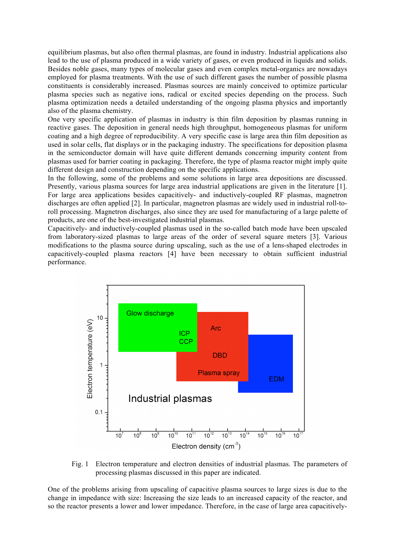equilibrium plasmas, but also often thermal plasmas, are found in industry. Industrial applications also lead to the use of plasma produced in a wide variety of gases, or even produced in liquids and solids. Besides noble gases, many types of molecular gases and even complex metal-organics are nowadays employed for plasma treatments. With the use of such different gases the number of possible plasma constituents is considerably increased. Plasmas sources are mainly conceived to optimize particular plasma species such as negative ions, radical or excited species depending on the process. Such plasma optimization needs a detailed understanding of the ongoing plasma physics and importantly also of the plasma chemistry.

One very specific application of plasmas in industry is thin film deposition by plasmas running in reactive gases. The deposition in general needs high throughput, homogeneous plasmas for uniform coating and a high degree of reproducibility. A very specific case is large area thin film deposition as used in solar cells, flat displays or in the packaging industry. The specifications for deposition plasma in the semiconductor domain will have quite different demands concerning impurity content from plasmas used for barrier coating in packaging. Therefore, the type of plasma reactor might imply quite different design and construction depending on the specific applications.

In the following, some of the problems and some solutions in large area depositions are discussed. Presently, various plasma sources for large area industrial applications are given in the literature [1]. For large area applications besides capacitively- and inductively-coupled RF plasmas, magnetron discharges are often applied [2]. In particular, magnetron plasmas are widely used in industrial roll-toroll processing. Magnetron discharges, also since they are used for manufacturing of a large palette of products, are one of the best-investigated industrial plasmas.

Capacitively- and inductively-coupled plasmas used in the so-called batch mode have been upscaled from laboratory-sized plasmas to large areas of the order of several square meters [3]. Various modifications to the plasma source during upscaling, such as the use of a lens-shaped electrodes in capacitively-coupled plasma reactors [4] have been necessary to obtain sufficient industrial performance.



Fig. 1 Electron temperature and electron densities of industrial plasmas. The parameters of processing plasmas discussed in this paper are indicated.

One of the problems arising from upscaling of capacitive plasma sources to large sizes is due to the change in impedance with size: Increasing the size leads to an increased capacity of the reactor, and so the reactor presents a lower and lower impedance. Therefore, in the case of large area capacitively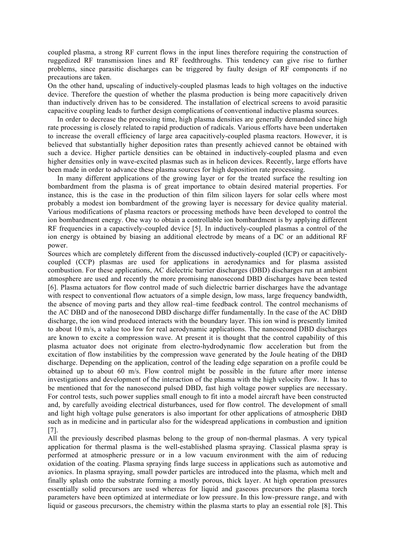coupled plasma, a strong RF current flows in the input lines therefore requiring the construction of ruggedized RF transmission lines and RF feedthroughs. This tendency can give rise to further problems, since parasitic discharges can be triggered by faulty design of RF components if no precautions are taken.

On the other hand, upscaling of inductively-coupled plasmas leads to high voltages on the inductive device. Therefore the question of whether the plasma production is being more capacitively driven than inductively driven has to be considered. The installation of electrical screens to avoid parasitic capacitive coupling leads to further design complications of conventional inductive plasma sources.

In order to decrease the processing time, high plasma densities are generally demanded since high rate processing is closely related to rapid production of radicals. Various efforts have been undertaken to increase the overall efficiency of large area capacitively-coupled plasma reactors. However, it is believed that substantially higher deposition rates than presently achieved cannot be obtained with such a device. Higher particle densities can be obtained in inductively-coupled plasma and even higher densities only in wave-excited plasmas such as in helicon devices. Recently, large efforts have been made in order to advance these plasma sources for high deposition rate processing.

In many different applications of the growing layer or for the treated surface the resulting ion bombardment from the plasma is of great importance to obtain desired material properties. For instance, this is the case in the production of thin film silicon layers for solar cells where most probably a modest ion bombardment of the growing layer is necessary for device quality material. Various modifications of plasma reactors or processing methods have been developed to control the ion bombardment energy. One way to obtain a controllable ion bombardment is by applying different RF frequencies in a capactively-coupled device [5]. In inductively-coupled plasmas a control of the ion energy is obtained by biasing an additional electrode by means of a DC or an additional RF power.

Sources which are completely different from the discussed inductively-coupled (ICP) or capacitivelycoupled (CCP) plasmas are used for applications in aerodynamics and for plasma assisted combustion. For these applications, AC dielectric barrier discharges (DBD) discharges run at ambient atmosphere are used and recently the more promising nanosecond DBD discharges have been tested [6]. Plasma actuators for flow control made of such dielectric barrier discharges have the advantage with respect to conventional flow actuators of a simple design, low mass, large frequency bandwidth, the absence of moving parts and they allow real–time feedback control. The control mechanisms of the AC DBD and of the nanosecond DBD discharge differ fundamentally. In the case of the AC DBD discharge, the ion wind produced interacts with the boundary layer. This ion wind is presently limited to about 10 m/s, a value too low for real aerodynamic applications. The nanosecond DBD discharges are known to excite a compression wave. At present it is thought that the control capability of this plasma actuator does not originate from electro-hydrodynamic flow acceleration but from the excitation of flow instabilities by the compression wave generated by the Joule heating of the DBD discharge. Depending on the application, control of the leading edge separation on a profile could be obtained up to about 60 m/s. Flow control might be possible in the future after more intense investigations and development of the interaction of the plasma with the high velocity flow. It has to be mentioned that for the nanosecond pulsed DBD, fast high voltage power supplies are necessary. For control tests, such power supplies small enough to fit into a model aircraft have been constructed and, by carefully avoiding electrical disturbances, used for flow control. The development of small and light high voltage pulse generators is also important for other applications of atmospheric DBD such as in medicine and in particular also for the widespread applications in combustion and ignition [7].

All the previously described plasmas belong to the group of non-thermal plasmas. A very typical application for thermal plasma is the well-established plasma spraying. Classical plasma spray is performed at atmospheric pressure or in a low vacuum environment with the aim of reducing oxidation of the coating. Plasma spraying finds large success in applications such as automotive and avionics. In plasma spraying, small powder particles are introduced into the plasma, which melt and finally splash onto the substrate forming a mostly porous, thick layer. At high operation pressures essentially solid precursors are used whereas for liquid and gaseous precursors the plasma torch parameters have been optimized at intermediate or low pressure. In this low-pressure range, and with liquid or gaseous precursors, the chemistry within the plasma starts to play an essential role [8]. This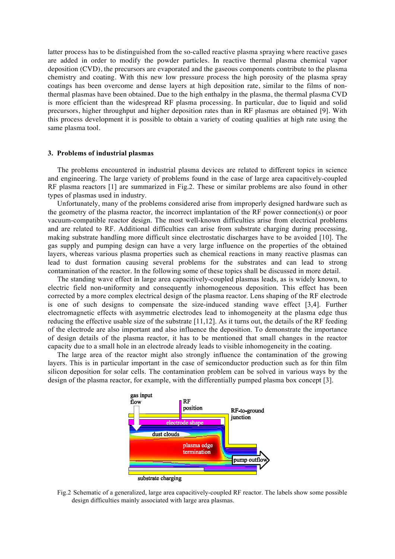latter process has to be distinguished from the so-called reactive plasma spraying where reactive gases are added in order to modify the powder particles. In reactive thermal plasma chemical vapor deposition (CVD), the precursors are evaporated and the gaseous components contribute to the plasma chemistry and coating. With this new low pressure process the high porosity of the plasma spray coatings has been overcome and dense layers at high deposition rate, similar to the films of nonthermal plasmas have been obtained. Due to the high enthalpy in the plasma, the thermal plasma CVD is more efficient than the widespread RF plasma processing. In particular, due to liquid and solid precursors, higher throughput and higher deposition rates than in RF plasmas are obtained [9]. With this process development it is possible to obtain a variety of coating qualities at high rate using the same plasma tool.

### **3. Problems of industrial plasmas**

The problems encountered in industrial plasma devices are related to different topics in science and engineering. The large variety of problems found in the case of large area capacitively-coupled RF plasma reactors [1] are summarized in Fig.2. These or similar problems are also found in other types of plasmas used in industry.

Unfortunately, many of the problems considered arise from improperly designed hardware such as the geometry of the plasma reactor, the incorrect implantation of the RF power connection(s) or poor vacuum-compatible reactor design. The most well-known difficulties arise from electrical problems and are related to RF. Additional difficulties can arise from substrate charging during processing, making substrate handling more difficult since electrostatic discharges have to be avoided [10]. The gas supply and pumping design can have a very large influence on the properties of the obtained layers, whereas various plasma properties such as chemical reactions in many reactive plasmas can lead to dust formation causing several problems for the substrates and can lead to strong contamination of the reactor. In the following some of these topics shall be discussed in more detail.

The standing wave effect in large area capacitively-coupled plasmas leads, as is widely known, to electric field non-uniformity and consequently inhomogeneous deposition. This effect has been corrected by a more complex electrical design of the plasma reactor. Lens shaping of the RF electrode is one of such designs to compensate the size-induced standing wave effect [3,4]. Further electromagnetic effects with asymmetric electrodes lead to inhomogeneity at the plasma edge thus reducing the effective usable size of the substrate [11,12]. As it turns out, the details of the RF feeding of the electrode are also important and also influence the deposition. To demonstrate the importance of design details of the plasma reactor, it has to be mentioned that small changes in the reactor capacity due to a small hole in an electrode already leads to visible inhomogeneity in the coating.

The large area of the reactor might also strongly influence the contamination of the growing layers. This is in particular important in the case of semiconductor production such as for thin film silicon deposition for solar cells. The contamination problem can be solved in various ways by the design of the plasma reactor, for example, with the differentially pumped plasma box concept [3].



Fig.2 Schematic of a generalized, large area capacitively-coupled RF reactor. The labels show some possible design difficulties mainly associated with large area plasmas.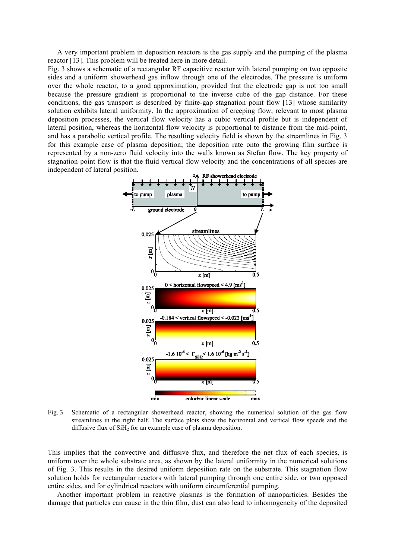A very important problem in deposition reactors is the gas supply and the pumping of the plasma reactor [13]. This problem will be treated here in more detail.

Fig. 3 shows a schematic of a rectangular RF capacitive reactor with lateral pumping on two opposite sides and a uniform showerhead gas inflow through one of the electrodes. The pressure is uniform over the whole reactor, to a good approximation, provided that the electrode gap is not too small because the pressure gradient is proportional to the inverse cube of the gap distance. For these conditions, the gas transport is described by finite-gap stagnation point flow [13] whose similarity solution exhibits lateral uniformity. In the approximation of creeping flow, relevant to most plasma deposition processes, the vertical flow velocity has a cubic vertical profile but is independent of lateral position, whereas the horizontal flow velocity is proportional to distance from the mid-point, and has a parabolic vertical profile. The resulting velocity field is shown by the streamlines in Fig. 3 for this example case of plasma deposition; the deposition rate onto the growing film surface is represented by a non-zero fluid velocity into the walls known as Stefan flow. The key property of stagnation point flow is that the fluid vertical flow velocity and the concentrations of all species are independent of lateral position.



Fig. 3 Schematic of a rectangular showerhead reactor, showing the numerical solution of the gas flow streamlines in the right half. The surface plots show the horizontal and vertical flow speeds and the diffusive flux of  $SiH<sub>2</sub>$  for an example case of plasma deposition.

This implies that the convective and diffusive flux, and therefore the net flux of each species, is uniform over the whole substrate area, as shown by the lateral uniformity in the numerical solutions of Fig. 3. This results in the desired uniform deposition rate on the substrate. This stagnation flow solution holds for rectangular reactors with lateral pumping through one entire side, or two opposed entire sides, and for cylindrical reactors with uniform circumferential pumping.

Another important problem in reactive plasmas is the formation of nanoparticles. Besides the damage that particles can cause in the thin film, dust can also lead to inhomogeneity of the deposited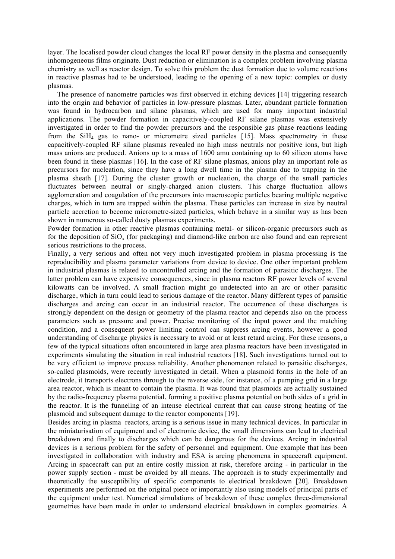layer. The localised powder cloud changes the local RF power density in the plasma and consequently inhomogeneous films originate. Dust reduction or elimination is a complex problem involving plasma chemistry as well as reactor design. To solve this problem the dust formation due to volume reactions in reactive plasmas had to be understood, leading to the opening of a new topic: complex or dusty plasmas.

The presence of nanometre particles was first observed in etching devices [14] triggering research into the origin and behavior of particles in low-pressure plasmas. Later, abundant particle formation was found in hydrocarbon and silane plasmas, which are used for many important industrial applications. The powder formation in capacitively-coupled RF silane plasmas was extensively investigated in order to find the powder precursors and the responsible gas phase reactions leading from the  $SiH<sub>4</sub>$  gas to nano- or micrometre sized particles [15]. Mass spectrometry in these capacitively-coupled RF silane plasmas revealed no high mass neutrals nor positive ions, but high mass anions are produced. Anions up to a mass of 1600 amu containing up to 60 silicon atoms have been found in these plasmas [16]. In the case of RF silane plasmas, anions play an important role as precursors for nucleation, since they have a long dwell time in the plasma due to trapping in the plasma sheath [17]. During the cluster growth or nucleation, the charge of the small particles fluctuates between neutral or singly-charged anion clusters. This charge fluctuation allows agglomeration and coagulation of the precursors into macroscopic particles bearing multiple negative charges, which in turn are trapped within the plasma. These particles can increase in size by neutral particle accretion to become micrometre-sized particles, which behave in a similar way as has been shown in numerous so-called dusty plasmas experiments.

Powder formation in other reactive plasmas containing metal- or silicon-organic precursors such as for the deposition of  $SiO<sub>x</sub>$  (for packaging) and diamond-like carbon are also found and can represent serious restrictions to the process.

Finally, a very serious and often not very much investigated problem in plasma processing is the reproducibility and plasma parameter variations from device to device. One other important problem in industrial plasmas is related to uncontrolled arcing and the formation of parasitic discharges. The latter problem can have expensive consequences, since in plasma reactors RF power levels of several kilowatts can be involved. A small fraction might go undetected into an arc or other parasitic discharge, which in turn could lead to serious damage of the reactor. Many different types of parasitic discharges and arcing can occur in an industrial reactor. The occurrence of these discharges is strongly dependent on the design or geometry of the plasma reactor and depends also on the process parameters such as pressure and power. Precise monitoring of the input power and the matching condition, and a consequent power limiting control can suppress arcing events, however a good understanding of discharge physics is necessary to avoid or at least retard arcing. For these reasons, a few of the typical situations often encountered in large area plasma reactors have been investigated in experiments simulating the situation in real industrial reactors [18]. Such investigations turned out to be very efficient to improve process reliability. Another phenomenon related to parasitic discharges, so-called plasmoids, were recently investigated in detail. When a plasmoid forms in the hole of an electrode, it transports electrons through to the reverse side, for instance, of a pumping grid in a large area reactor, which is meant to contain the plasma. It was found that plasmoids are actually sustained by the radio-frequency plasma potential, forming a positive plasma potential on both sides of a grid in the reactor. It is the funneling of an intense electrical current that can cause strong heating of the plasmoid and subsequent damage to the reactor components [19].

Besides arcing in plasma reactors, arcing is a serious issue in many technical devices. In particular in the miniaturisation of equipment and of electronic device, the small dimensions can lead to electrical breakdown and finally to discharges which can be dangerous for the devices. Arcing in industrial devices is a serious problem for the safety of personnel and equipment. One example that has been investigated in collaboration with industry and ESA is arcing phenomena in spacecraft equipment. Arcing in spacecraft can put an entire costly mission at risk, therefore arcing - in particular in the power supply section - must be avoided by all means. The approach is to study experimentally and theoretically the susceptibility of specific components to electrical breakdown [20]. Breakdown experiments are performed on the original piece or importantly also using models of principal parts of the equipment under test. Numerical simulations of breakdown of these complex three-dimensional geometries have been made in order to understand electrical breakdown in complex geometries. A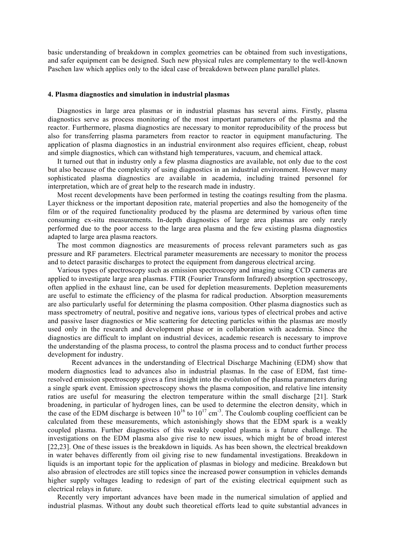basic understanding of breakdown in complex geometries can be obtained from such investigations, and safer equipment can be designed. Such new physical rules are complementary to the well-known Paschen law which applies only to the ideal case of breakdown between plane parallel plates.

### **4. Plasma diagnostics and simulation in industrial plasmas**

Diagnostics in large area plasmas or in industrial plasmas has several aims. Firstly, plasma diagnostics serve as process monitoring of the most important parameters of the plasma and the reactor. Furthermore, plasma diagnostics are necessary to monitor reproducibility of the process but also for transferring plasma parameters from reactor to reactor in equipment manufacturing. The application of plasma diagnostics in an industrial environment also requires efficient, cheap, robust and simple diagnostics, which can withstand high temperatures, vacuum, and chemical attack.

It turned out that in industry only a few plasma diagnostics are available, not only due to the cost but also because of the complexity of using diagnostics in an industrial environment. However many sophisticated plasma diagnostics are available in academia, including trained personnel for interpretation, which are of great help to the research made in industry.

Most recent developments have been performed in testing the coatings resulting from the plasma. Layer thickness or the important deposition rate, material properties and also the homogeneity of the film or of the required functionality produced by the plasma are determined by various often time consuming ex-situ measurements. In-depth diagnostics of large area plasmas are only rarely performed due to the poor access to the large area plasma and the few existing plasma diagnostics adapted to large area plasma reactors.

The most common diagnostics are measurements of process relevant parameters such as gas pressure and RF parameters. Electrical parameter measurements are necessary to monitor the process and to detect parasitic discharges to protect the equipment from dangerous electrical arcing.

Various types of spectroscopy such as emission spectroscopy and imaging using CCD cameras are applied to investigate large area plasmas. FTIR (Fourier Transform Infrared) absorption spectroscopy, often applied in the exhaust line, can be used for depletion measurements. Depletion measurements are useful to estimate the efficiency of the plasma for radical production. Absorption measurements are also particularly useful for determining the plasma composition. Other plasma diagnostics such as mass spectrometry of neutral, positive and negative ions, various types of electrical probes and active and passive laser diagnostics or Mie scattering for detecting particles within the plasmas are mostly used only in the research and development phase or in collaboration with academia. Since the diagnostics are difficult to implant on industrial devices, academic research is necessary to improve the understanding of the plasma process, to control the plasma process and to conduct further process development for industry.

Recent advances in the understanding of Electrical Discharge Machining (EDM) show that modern diagnostics lead to advances also in industrial plasmas. In the case of EDM, fast timeresolved emission spectroscopy gives a first insight into the evolution of the plasma parameters during a single spark event. Emission spectroscopy shows the plasma composition, and relative line intensity ratios are useful for measuring the electron temperature within the small discharge [21]. Stark broadening, in particular of hydrogen lines, can be used to determine the electron density, which in the case of the EDM discharge is between  $10^{16}$  to  $10^{17}$  cm<sup>-3</sup>. The Coulomb coupling coefficient can be calculated from these measurements, which astonishingly shows that the EDM spark is a weakly coupled plasma. Further diagnostics of this weakly coupled plasma is a future challenge. The investigations on the EDM plasma also give rise to new issues, which might be of broad interest [22,23]. One of these issues is the breakdown in liquids. As has been shown, the electrical breakdown in water behaves differently from oil giving rise to new fundamental investigations. Breakdown in liquids is an important topic for the application of plasmas in biology and medicine. Breakdown but also abrasion of electrodes are still topics since the increased power consumption in vehicles demands higher supply voltages leading to redesign of part of the existing electrical equipment such as electrical relays in future.

Recently very important advances have been made in the numerical simulation of applied and industrial plasmas. Without any doubt such theoretical efforts lead to quite substantial advances in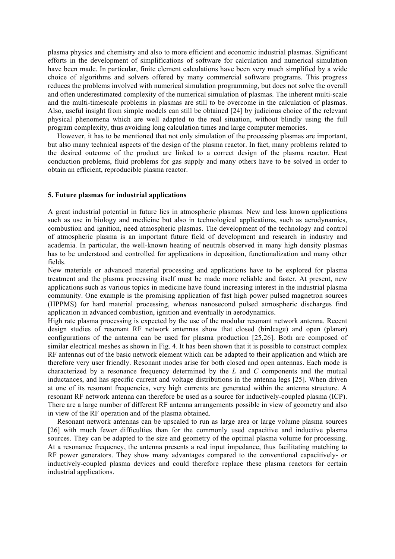plasma physics and chemistry and also to more efficient and economic industrial plasmas. Significant efforts in the development of simplifications of software for calculation and numerical simulation have been made. In particular, finite element calculations have been very much simplified by a wide choice of algorithms and solvers offered by many commercial software programs. This progress reduces the problems involved with numerical simulation programming, but does not solve the overall and often underestimated complexity of the numerical simulation of plasmas. The inherent multi-scale and the multi-timescale problems in plasmas are still to be overcome in the calculation of plasmas. Also, useful insight from simple models can still be obtained [24] by judicious choice of the relevant physical phenomena which are well adapted to the real situation, without blindly using the full program complexity, thus avoiding long calculation times and large computer memories.

However, it has to be mentioned that not only simulation of the processing plasmas are important, but also many technical aspects of the design of the plasma reactor. In fact, many problems related to the desired outcome of the product are linked to a correct design of the plasma reactor. Heat conduction problems, fluid problems for gas supply and many others have to be solved in order to obtain an efficient, reproducible plasma reactor.

### **5. Future plasmas for industrial applications**

A great industrial potential in future lies in atmospheric plasmas. New and less known applications such as use in biology and medicine but also in technological applications, such as aerodynamics, combustion and ignition, need atmospheric plasmas. The development of the technology and control of atmospheric plasma is an important future field of development and research in industry and academia. In particular, the well-known heating of neutrals observed in many high density plasmas has to be understood and controlled for applications in deposition, functionalization and many other fields.

New materials or advanced material processing and applications have to be explored for plasma treatment and the plasma processing itself must be made more reliable and faster. At present, new applications such as various topics in medicine have found increasing interest in the industrial plasma community. One example is the promising application of fast high power pulsed magnetron sources (HPPMS) for hard material processing, whereas nanosecond pulsed atmospheric discharges find application in advanced combustion, ignition and eventually in aerodynamics.

High rate plasma processing is expected by the use of the modular resonant network antenna. Recent design studies of resonant RF network antennas show that closed (birdcage) and open (planar) configurations of the antenna can be used for plasma production [25,26]. Both are composed of similar electrical meshes as shown in Fig. 4. It has been shown that it is possible to construct complex RF antennas out of the basic network element which can be adapted to their application and which are therefore very user friendly. Resonant modes arise for both closed and open antennas. Each mode is characterized by a resonance frequency determined by the *L* and *C* components and the mutual inductances, and has specific current and voltage distributions in the antenna legs [25]. When driven at one of its resonant frequencies, very high currents are generated within the antenna structure. A resonant RF network antenna can therefore be used as a source for inductively-coupled plasma (ICP). There are a large number of different RF antenna arrangements possible in view of geometry and also in view of the RF operation and of the plasma obtained.

Resonant network antennas can be upscaled to run as large area or large volume plasma sources [26] with much fewer difficulties than for the commonly used capacitive and inductive plasma sources. They can be adapted to the size and geometry of the optimal plasma volume for processing. At a resonance frequency, the antenna presents a real input impedance, thus facilitating matching to RF power generators. They show many advantages compared to the conventional capacitively- or inductively-coupled plasma devices and could therefore replace these plasma reactors for certain industrial applications.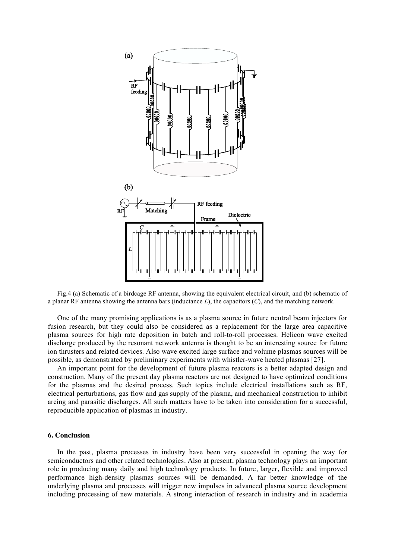

Fig.4 (a) Schematic of a birdcage RF antenna, showing the equivalent electrical circuit, and (b) schematic of a planar RF antenna showing the antenna bars (inductance *L*), the capacitors (*C*), and the matching network.

One of the many promising applications is as a plasma source in future neutral beam injectors for fusion research, but they could also be considered as a replacement for the large area capacitive plasma sources for high rate deposition in batch and roll-to-roll processes. Helicon wave excited discharge produced by the resonant network antenna is thought to be an interesting source for future ion thrusters and related devices. Also wave excited large surface and volume plasmas sources will be possible, as demonstrated by preliminary experiments with whistler-wave heated plasmas [27].

An important point for the development of future plasma reactors is a better adapted design and construction. Many of the present day plasma reactors are not designed to have optimized conditions for the plasmas and the desired process. Such topics include electrical installations such as RF, electrical perturbations, gas flow and gas supply of the plasma, and mechanical construction to inhibit arcing and parasitic discharges. All such matters have to be taken into consideration for a successful, reproducible application of plasmas in industry.

# **6. Conclusion**

In the past, plasma processes in industry have been very successful in opening the way for semiconductors and other related technologies. Also at present, plasma technology plays an important role in producing many daily and high technology products. In future, larger, flexible and improved performance high-density plasmas sources will be demanded. A far better knowledge of the underlying plasma and processes will trigger new impulses in advanced plasma source development including processing of new materials. A strong interaction of research in industry and in academia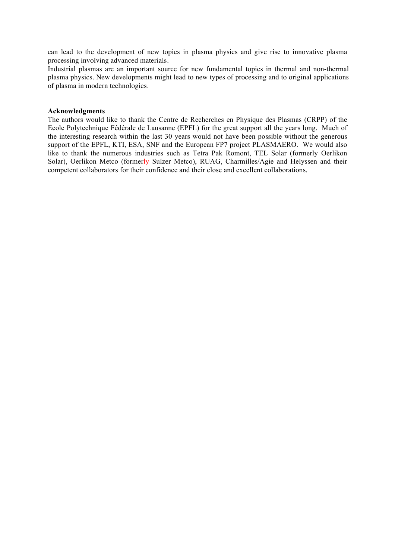can lead to the development of new topics in plasma physics and give rise to innovative plasma processing involving advanced materials.

Industrial plasmas are an important source for new fundamental topics in thermal and non-thermal plasma physics. New developments might lead to new types of processing and to original applications of plasma in modern technologies.

# **Acknowledgments**

The authors would like to thank the Centre de Recherches en Physique des Plasmas (CRPP) of the Ecole Polytechnique Fédérale de Lausanne (EPFL) for the great support all the years long. Much of the interesting research within the last 30 years would not have been possible without the generous support of the EPFL, KTI, ESA, SNF and the European FP7 project PLASMAERO. We would also like to thank the numerous industries such as Tetra Pak Romont, TEL Solar (formerly Oerlikon Solar), Oerlikon Metco (formerly Sulzer Metco), RUAG, Charmilles/Agie and Helyssen and their competent collaborators for their confidence and their close and excellent collaborations.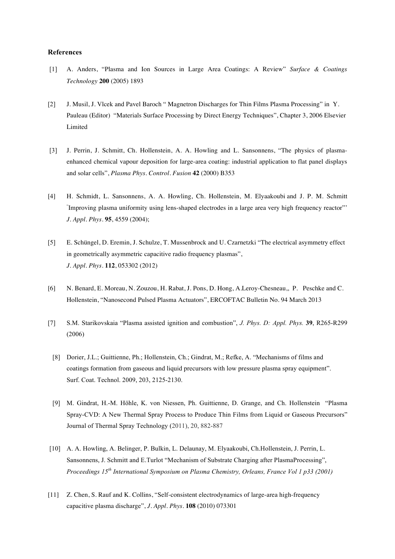#### **References**

- [1] A. Anders, "Plasma and Ion Sources in Large Area Coatings: A Review" *Surface & Coatings Technology* **200** (2005) 1893
- [2] J. Musil, J. Vlcek and Pavel Baroch " Magnetron Discharges for Thin Films Plasma Processing" in Y. Pauleau (Editor) "Materials Surface Processing by Direct Energy Techniques", Chapter 3, 2006 Elsevier Limited
- [3] J. Perrin, J. Schmitt, Ch. Hollenstein, A. A. Howling and L. Sansonnens, "The physics of plasmaenhanced chemical vapour deposition for large-area coating: industrial application to flat panel displays and solar cells", *Plasma Phys. Control. Fusion* **42** (2000) B353
- [4] H. Schmidt, L. Sansonnens, A. A. Howling, Ch. Hollenstein, M. Elyaakoubi and J. P. M. Schmitt " Improving plasma uniformity using lens-shaped electrodes in a large area very high frequency reactor"' *J. Appl. Phys.* **95**, 4559 (2004);
- [5] E. Schüngel, D. Eremin, J. Schulze, T. Mussenbrock and U. Czarnetzki "The electrical asymmetry effect in geometrically asymmetric capacitive radio frequency plasmas", *J. Appl. Phys.* **112**, 053302 (2012)
- [6] N. Benard, E. Moreau, N. Zouzou, H. Rabat, J. Pons, D. Hong, A.Leroy-Chesneau,, P. Peschke and C. Hollenstein, "Nanosecond Pulsed Plasma Actuators", ERCOFTAC Bulletin No. 94 March 2013
- [7] S.M. Starikovskaia "Plasma assisted ignition and combustion", *J. Phys. D: Appl. Phys.* **39**, R265-R299 (2006)
- [8] Dorier, J.L.; Guittienne, Ph.; Hollenstein, Ch.; Gindrat, M.; Refke, A. "Mechanisms of films and coatings formation from gaseous and liquid precursors with low pressure plasma spray equipment". Surf. Coat. Technol. 2009, 203, 2125-2130.
- [9] M. Gindrat, H.-M. Höhle, K. von Niessen, Ph. Guittienne, D. Grange, and Ch. Hollenstein "Plasma Spray-CVD: A New Thermal Spray Process to Produce Thin Films from Liquid or Gaseous Precursors" Journal of Thermal Spray Technology (2011), 20, 882-887
- [10] A. A. Howling, A. Belinger, P. Bulkin, L. Delaunay, M. Elyaakoubi, Ch.Hollenstein, J. Perrin, L. Sansonnens, J. Schmitt and E.Turlot "Mechanism of Substrate Charging after PlasmaProcessing", *Proceedings 15th International Symposium on Plasma Chemistry, Orleans, France Vol 1 p33 (2001)*
- [11] Z. Chen, S. Rauf and K. Collins, "Self-consistent electrodynamics of large-area high-frequency capacitive plasma discharge", *J. Appl. Phys.* **108** (2010) 073301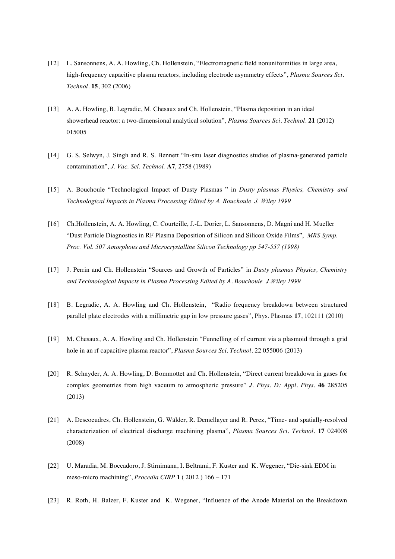- [12] L. Sansonnens, A. A. Howling, Ch. Hollenstein, "Electromagnetic field nonuniformities in large area, high-frequency capacitive plasma reactors, including electrode asymmetry effects", *Plasma Sources Sci. Technol.* **15**, 302 (2006)
- [13] A. A. Howling, B. Legradic, M. Chesaux and Ch. Hollenstein, "Plasma deposition in an ideal showerhead reactor: a two-dimensional analytical solution", *Plasma Sources Sci. Technol.* **21** (2012) 015005
- [14] G. S. Selwyn, J. Singh and R. S. Bennett "In-situ laser diagnostics studies of plasma-generated particle contamination", *J. Vac. Sci. Technol.* **A7**, 2758 (1989)
- [15] A. Bouchoule "Technological Impact of Dusty Plasmas " in *Dusty plasmas Physics, Chemistry and Technological Impacts in Plasma Processing Edited by A. Bouchoule J. Wiley 1999*
- [16] Ch.Hollenstein, A. A. Howling, C. Courteille, J.-L. Dorier, L. Sansonnens, D. Magni and H. Mueller "Dust Particle Diagnostics in RF Plasma Deposition of Silicon and Silicon Oxide Films", *MRS Symp. Proc. Vol. 507 Amorphous and Microcrystalline Silicon Technology pp 547-557 (1998)*
- [17] J. Perrin and Ch. Hollenstein "Sources and Growth of Particles" in *Dusty plasmas Physics, Chemistry and Technological Impacts in Plasma Processing Edited by A. Bouchoule J.Wiley 1999*
- [18] B. Legradic, A. A. Howling and Ch. Hollenstein, "Radio frequency breakdown between structured parallel plate electrodes with a millimetric gap in low pressure gases", Phys. Plasmas **17**, 102111 (2010)
- [19] M. Chesaux, A. A. Howling and Ch. Hollenstein "Funnelling of rf current via a plasmoid through a grid hole in an rf capacitive plasma reactor", *Plasma Sources Sci. Technol.* 22 055006 (2013)
- [20] R. Schnyder, A. A. Howling, D. Bommottet and Ch. Hollenstein, "Direct current breakdown in gases for complex geometries from high vacuum to atmospheric pressure" *J. Phys. D: Appl. Phys.* **46** 285205 (2013)
- [21] A. Descoeudres, Ch. Hollenstein, G. Wälder, R. Demellayer and R. Perez, "Time- and spatially-resolved characterization of electrical discharge machining plasma", *Plasma Sources Sci. Technol.* **17** 024008 (2008)
- [22] U. Maradia, M. Boccadoro, J. Stirnimann, I. Beltrami, F. Kuster and K. Wegener, "Die-sink EDM in meso-micro machining", *Procedia CIRP* **1** ( 2012 ) 166 – 171
- [23] R. Roth, H. Balzer, F. Kuster and K. Wegener, "Influence of the Anode Material on the Breakdown